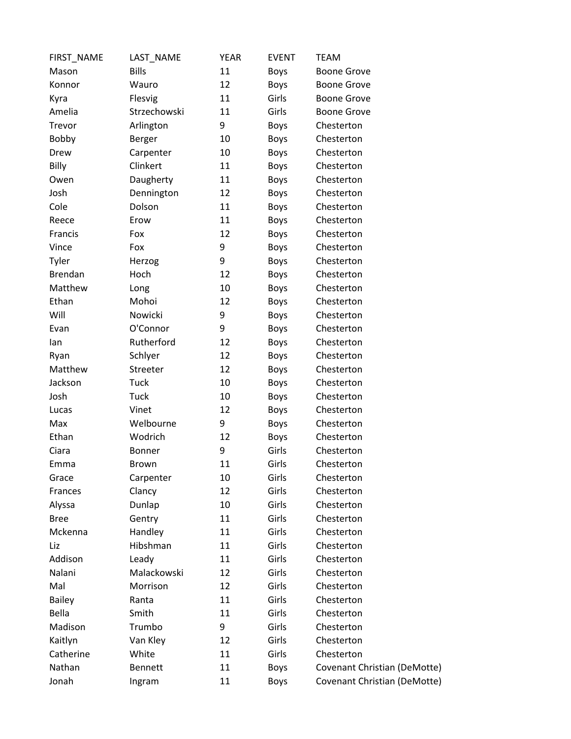| FIRST_NAME     | LAST_NAME      | YEAR | <b>EVENT</b> | <b>TEAM</b>                  |
|----------------|----------------|------|--------------|------------------------------|
| Mason          | <b>Bills</b>   | 11   | <b>Boys</b>  | <b>Boone Grove</b>           |
| Konnor         | Wauro          | 12   | <b>Boys</b>  | <b>Boone Grove</b>           |
| Kyra           | Flesvig        | 11   | Girls        | <b>Boone Grove</b>           |
| Amelia         | Strzechowski   | 11   | Girls        | <b>Boone Grove</b>           |
| Trevor         | Arlington      | 9    | <b>Boys</b>  | Chesterton                   |
| Bobby          | Berger         | 10   | <b>Boys</b>  | Chesterton                   |
| Drew           | Carpenter      | 10   | <b>Boys</b>  | Chesterton                   |
| Billy          | Clinkert       | 11   | <b>Boys</b>  | Chesterton                   |
| Owen           | Daugherty      | 11   | <b>Boys</b>  | Chesterton                   |
| Josh           | Dennington     | 12   | <b>Boys</b>  | Chesterton                   |
| Cole           | Dolson         | 11   | <b>Boys</b>  | Chesterton                   |
| Reece          | Erow           | 11   | <b>Boys</b>  | Chesterton                   |
| Francis        | Fox            | 12   | <b>Boys</b>  | Chesterton                   |
| Vince          | Fox            | 9    | <b>Boys</b>  | Chesterton                   |
| Tyler          | Herzog         | 9    | <b>Boys</b>  | Chesterton                   |
| <b>Brendan</b> | Hoch           | 12   | <b>Boys</b>  | Chesterton                   |
| Matthew        | Long           | 10   | <b>Boys</b>  | Chesterton                   |
| Ethan          | Mohoi          | 12   | <b>Boys</b>  | Chesterton                   |
| Will           | Nowicki        | 9    | <b>Boys</b>  | Chesterton                   |
| Evan           | O'Connor       | 9    | Boys         | Chesterton                   |
| lan            | Rutherford     | 12   | Boys         | Chesterton                   |
| Ryan           | Schlyer        | 12   | <b>Boys</b>  | Chesterton                   |
| Matthew        | Streeter       | 12   | <b>Boys</b>  | Chesterton                   |
| Jackson        | Tuck           | 10   | <b>Boys</b>  | Chesterton                   |
| Josh           | Tuck           | 10   | Boys         | Chesterton                   |
| Lucas          | Vinet          | 12   | <b>Boys</b>  | Chesterton                   |
| Max            | Welbourne      | 9    | <b>Boys</b>  | Chesterton                   |
| Ethan          | Wodrich        | 12   | <b>Boys</b>  | Chesterton                   |
| Ciara          | <b>Bonner</b>  | 9    | Girls        | Chesterton                   |
| Emma           | <b>Brown</b>   | 11   | Girls        | Chesterton                   |
| Grace          | Carpenter      | 10   | Girls        | Chesterton                   |
| Frances        | Clancy         | 12   | Girls        | Chesterton                   |
| Alyssa         | Dunlap         | 10   | Girls        | Chesterton                   |
| <b>Bree</b>    | Gentry         | 11   | Girls        | Chesterton                   |
| Mckenna        | Handley        | 11   | Girls        | Chesterton                   |
| Liz            | Hibshman       | 11   | Girls        | Chesterton                   |
| Addison        | Leady          | 11   | Girls        | Chesterton                   |
| Nalani         | Malackowski    | 12   | Girls        | Chesterton                   |
| Mal            | Morrison       | 12   | Girls        | Chesterton                   |
| <b>Bailey</b>  | Ranta          | 11   | Girls        | Chesterton                   |
| Bella          | Smith          | 11   | Girls        | Chesterton                   |
| Madison        | Trumbo         | 9    | Girls        | Chesterton                   |
| Kaitlyn        | Van Kley       | 12   | Girls        | Chesterton                   |
| Catherine      | White          | 11   | Girls        | Chesterton                   |
| Nathan         | <b>Bennett</b> | 11   | Boys         | Covenant Christian (DeMotte) |
| Jonah          | Ingram         | 11   | Boys         | Covenant Christian (DeMotte) |
|                |                |      |              |                              |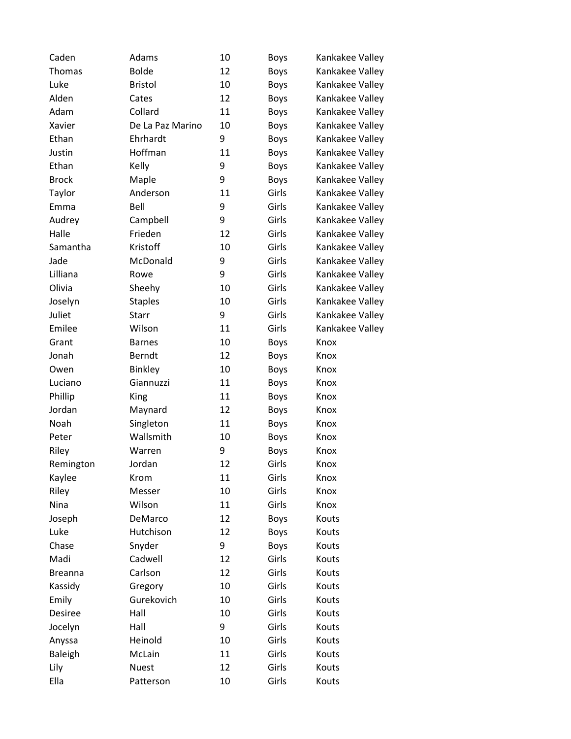| Caden          | Adams            | 10 | Boys        | Kankakee Valley |
|----------------|------------------|----|-------------|-----------------|
| Thomas         | <b>Bolde</b>     | 12 | <b>Boys</b> | Kankakee Valley |
| Luke           | <b>Bristol</b>   | 10 | <b>Boys</b> | Kankakee Valley |
| Alden          | Cates            | 12 | <b>Boys</b> | Kankakee Valley |
| Adam           | Collard          | 11 | <b>Boys</b> | Kankakee Valley |
| Xavier         | De La Paz Marino | 10 | <b>Boys</b> | Kankakee Valley |
| Ethan          | Ehrhardt         | 9  | <b>Boys</b> | Kankakee Valley |
| Justin         | Hoffman          | 11 | <b>Boys</b> | Kankakee Valley |
| Ethan          | Kelly            | 9  | <b>Boys</b> | Kankakee Valley |
| <b>Brock</b>   | Maple            | 9  | <b>Boys</b> | Kankakee Valley |
| Taylor         | Anderson         | 11 | Girls       | Kankakee Valley |
| Emma           | Bell             | 9  | Girls       | Kankakee Valley |
| Audrey         | Campbell         | 9  | Girls       | Kankakee Valley |
| Halle          | Frieden          | 12 | Girls       | Kankakee Valley |
| Samantha       | Kristoff         | 10 | Girls       | Kankakee Valley |
| Jade           | McDonald         | 9  | Girls       | Kankakee Valley |
| Lilliana       | Rowe             | 9  | Girls       | Kankakee Valley |
| Olivia         | Sheehy           | 10 | Girls       | Kankakee Valley |
| Joselyn        | <b>Staples</b>   | 10 | Girls       | Kankakee Valley |
| Juliet         | Starr            | 9  | Girls       | Kankakee Valley |
| Emilee         | Wilson           | 11 | Girls       | Kankakee Valley |
| Grant          | <b>Barnes</b>    | 10 | <b>Boys</b> | Knox            |
| Jonah          | Berndt           | 12 | <b>Boys</b> | Knox            |
| Owen           | <b>Binkley</b>   | 10 | <b>Boys</b> | Knox            |
| Luciano        | Giannuzzi        | 11 | <b>Boys</b> | Knox            |
| Phillip        | King             | 11 | <b>Boys</b> | Knox            |
| Jordan         | Maynard          | 12 | <b>Boys</b> | Knox            |
| Noah           | Singleton        | 11 | <b>Boys</b> | Knox            |
| Peter          | Wallsmith        | 10 | Boys        | Knox            |
| Riley          | Warren           | 9  | <b>Boys</b> | Knox            |
| Remington      | Jordan           | 12 | Girls       | Knox            |
| Kaylee         | Krom             | 11 | Girls       | Knox            |
| Riley          | Messer           | 10 | Girls       | Knox            |
| Nina           | Wilson           | 11 | Girls       | Knox            |
| Joseph         | DeMarco          | 12 | <b>Boys</b> | Kouts           |
| Luke           | Hutchison        | 12 | <b>Boys</b> | Kouts           |
| Chase          | Snyder           | 9  | <b>Boys</b> | Kouts           |
| Madi           | Cadwell          | 12 | Girls       | Kouts           |
| <b>Breanna</b> | Carlson          | 12 | Girls       | Kouts           |
| Kassidy        | Gregory          | 10 | Girls       | Kouts           |
| Emily          | Gurekovich       | 10 | Girls       | Kouts           |
| Desiree        | Hall             | 10 | Girls       | Kouts           |
| Jocelyn        | Hall             | 9  | Girls       | Kouts           |
| Anyssa         | Heinold          | 10 | Girls       | Kouts           |
| <b>Baleigh</b> | McLain           | 11 | Girls       | Kouts           |
| Lily           | <b>Nuest</b>     | 12 | Girls       | Kouts           |
| Ella           | Patterson        | 10 | Girls       | Kouts           |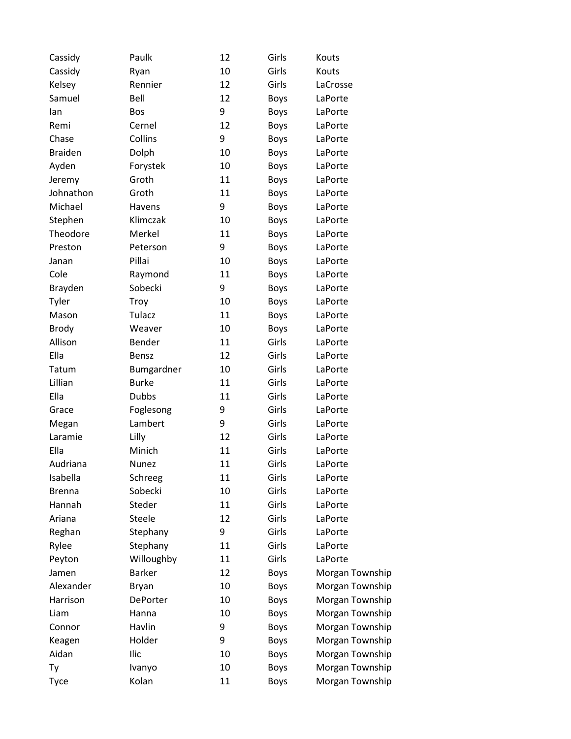| Cassidy        | Paulk         | 12 | Girls       | Kouts           |
|----------------|---------------|----|-------------|-----------------|
| Cassidy        | Ryan          | 10 | Girls       | Kouts           |
| Kelsey         | Rennier       | 12 | Girls       | LaCrosse        |
| Samuel         | Bell          | 12 | <b>Boys</b> | LaPorte         |
| lan            | Bos           | 9  | Boys        | LaPorte         |
| Remi           | Cernel        | 12 | <b>Boys</b> | LaPorte         |
| Chase          | Collins       | 9  | <b>Boys</b> | LaPorte         |
| <b>Braiden</b> | Dolph         | 10 | <b>Boys</b> | LaPorte         |
| Ayden          | Forystek      | 10 | <b>Boys</b> | LaPorte         |
| Jeremy         | Groth         | 11 | <b>Boys</b> | LaPorte         |
| Johnathon      | Groth         | 11 | <b>Boys</b> | LaPorte         |
| Michael        | Havens        | 9  | <b>Boys</b> | LaPorte         |
| Stephen        | Klimczak      | 10 | <b>Boys</b> | LaPorte         |
| Theodore       | Merkel        | 11 | <b>Boys</b> | LaPorte         |
| Preston        | Peterson      | 9  | <b>Boys</b> | LaPorte         |
| Janan          | Pillai        | 10 | <b>Boys</b> | LaPorte         |
| Cole           | Raymond       | 11 | <b>Boys</b> | LaPorte         |
| Brayden        | Sobecki       | 9  | <b>Boys</b> | LaPorte         |
| Tyler          | Troy          | 10 | <b>Boys</b> | LaPorte         |
| Mason          | Tulacz        | 11 | <b>Boys</b> | LaPorte         |
| <b>Brody</b>   | Weaver        | 10 | <b>Boys</b> | LaPorte         |
| Allison        | Bender        | 11 | Girls       | LaPorte         |
| Ella           | Bensz         | 12 | Girls       | LaPorte         |
| Tatum          | Bumgardner    | 10 | Girls       | LaPorte         |
| Lillian        | <b>Burke</b>  | 11 | Girls       | LaPorte         |
| Ella           | <b>Dubbs</b>  | 11 | Girls       | LaPorte         |
| Grace          | Foglesong     | 9  | Girls       | LaPorte         |
| Megan          | Lambert       | 9  | Girls       | LaPorte         |
| Laramie        | Lilly         | 12 | Girls       | LaPorte         |
| Ella           | Minich        | 11 | Girls       | LaPorte         |
| Audriana       | Nunez         | 11 | Girls       | LaPorte         |
| Isabella       | Schreeg       | 11 | Girls       | LaPorte         |
| <b>Brenna</b>  | Sobecki       | 10 | Girls       | LaPorte         |
| Hannah         | Steder        | 11 | Girls       | LaPorte         |
| Ariana         | Steele        | 12 | Girls       | LaPorte         |
| Reghan         | Stephany      | 9  | Girls       | LaPorte         |
| Rylee          | Stephany      | 11 | Girls       | LaPorte         |
| Peyton         | Willoughby    | 11 | Girls       | LaPorte         |
| Jamen          | <b>Barker</b> | 12 | <b>Boys</b> | Morgan Township |
| Alexander      | <b>Bryan</b>  | 10 | <b>Boys</b> | Morgan Township |
| Harrison       | DePorter      | 10 | <b>Boys</b> | Morgan Township |
| Liam           | Hanna         | 10 | <b>Boys</b> | Morgan Township |
| Connor         | Havlin        | 9  | Boys        | Morgan Township |
| Keagen         | Holder        | 9  | <b>Boys</b> | Morgan Township |
| Aidan          | Ilic          | 10 | <b>Boys</b> | Morgan Township |
| Ty             | Ivanyo        | 10 | <b>Boys</b> | Morgan Township |
| Tyce           | Kolan         | 11 | <b>Boys</b> | Morgan Township |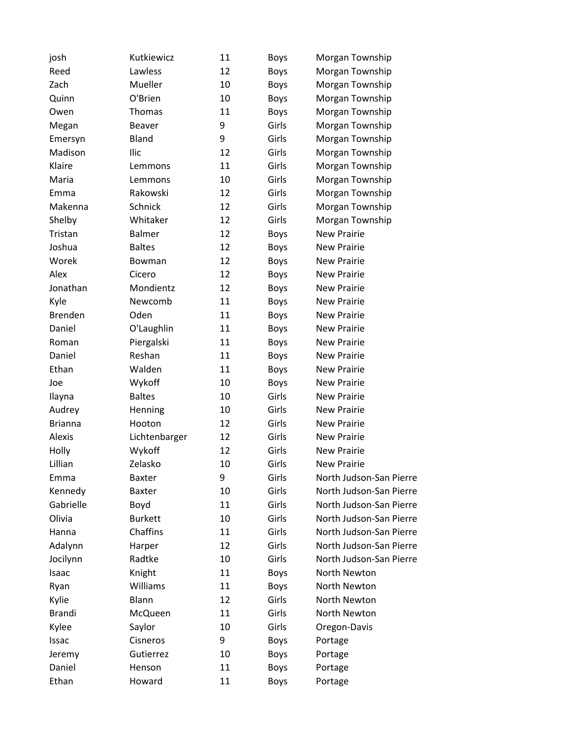| josh           | Kutkiewicz     | 11 | <b>Boys</b> | Morgan Township         |
|----------------|----------------|----|-------------|-------------------------|
| Reed           | Lawless        | 12 | <b>Boys</b> | Morgan Township         |
| Zach           | Mueller        | 10 | <b>Boys</b> | Morgan Township         |
| Quinn          | O'Brien        | 10 | <b>Boys</b> | Morgan Township         |
| Owen           | Thomas         | 11 | <b>Boys</b> | Morgan Township         |
| Megan          | <b>Beaver</b>  | 9  | Girls       | Morgan Township         |
| Emersyn        | Bland          | 9  | Girls       | Morgan Township         |
| Madison        | Ilic           | 12 | Girls       | Morgan Township         |
| Klaire         | Lemmons        | 11 | Girls       | Morgan Township         |
| Maria          | Lemmons        | 10 | Girls       | Morgan Township         |
| Emma           | Rakowski       | 12 | Girls       | Morgan Township         |
| Makenna        | Schnick        | 12 | Girls       | Morgan Township         |
| Shelby         | Whitaker       | 12 | Girls       | Morgan Township         |
| Tristan        | <b>Balmer</b>  | 12 | <b>Boys</b> | <b>New Prairie</b>      |
| Joshua         | <b>Baltes</b>  | 12 | <b>Boys</b> | <b>New Prairie</b>      |
| Worek          | Bowman         | 12 | <b>Boys</b> | <b>New Prairie</b>      |
| Alex           | Cicero         | 12 | <b>Boys</b> | <b>New Prairie</b>      |
| Jonathan       | Mondientz      | 12 | <b>Boys</b> | <b>New Prairie</b>      |
| Kyle           | Newcomb        | 11 | <b>Boys</b> | <b>New Prairie</b>      |
| <b>Brenden</b> | Oden           | 11 | <b>Boys</b> | <b>New Prairie</b>      |
| Daniel         | O'Laughlin     | 11 | <b>Boys</b> | <b>New Prairie</b>      |
| Roman          | Piergalski     | 11 | <b>Boys</b> | <b>New Prairie</b>      |
| Daniel         | Reshan         | 11 | <b>Boys</b> | <b>New Prairie</b>      |
| Ethan          | Walden         | 11 | <b>Boys</b> | <b>New Prairie</b>      |
| Joe            | Wykoff         | 10 | <b>Boys</b> | <b>New Prairie</b>      |
| Ilayna         | <b>Baltes</b>  | 10 | Girls       | <b>New Prairie</b>      |
| Audrey         | Henning        | 10 | Girls       | <b>New Prairie</b>      |
| <b>Brianna</b> | Hooton         | 12 | Girls       | <b>New Prairie</b>      |
| Alexis         | Lichtenbarger  | 12 | Girls       | <b>New Prairie</b>      |
| Holly          | Wykoff         | 12 | Girls       | <b>New Prairie</b>      |
| Lillian        | Zelasko        | 10 | Girls       | <b>New Prairie</b>      |
| Emma           | Baxter         | 9  | Girls       | North Judson-San Pierre |
| Kennedy        | <b>Baxter</b>  | 10 | Girls       | North Judson-San Pierre |
| Gabrielle      | Boyd           | 11 | Girls       | North Judson-San Pierre |
| Olivia         | <b>Burkett</b> | 10 | Girls       | North Judson-San Pierre |
| Hanna          | Chaffins       | 11 | Girls       | North Judson-San Pierre |
| Adalynn        | Harper         | 12 | Girls       | North Judson-San Pierre |
| Jocilynn       | Radtke         | 10 | Girls       | North Judson-San Pierre |
| Isaac          | Knight         | 11 | <b>Boys</b> | North Newton            |
| Ryan           | Williams       | 11 | <b>Boys</b> | North Newton            |
| Kylie          | Blann          | 12 | Girls       | North Newton            |
| Brandi         | McQueen        | 11 | Girls       | North Newton            |
| Kylee          | Saylor         | 10 | Girls       | Oregon-Davis            |
| Issac          | Cisneros       | 9  | <b>Boys</b> | Portage                 |
| Jeremy         | Gutierrez      | 10 | <b>Boys</b> | Portage                 |
| Daniel         | Henson         | 11 | <b>Boys</b> | Portage                 |
| Ethan          | Howard         | 11 | <b>Boys</b> | Portage                 |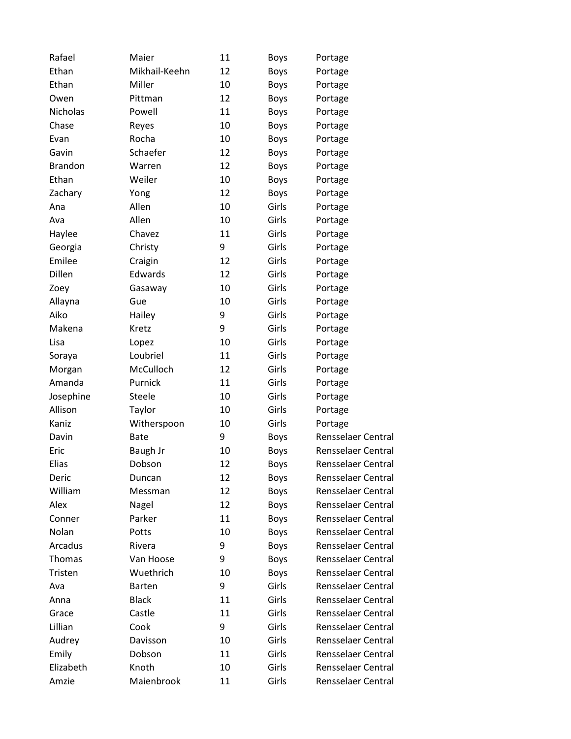| Rafael         | Maier         | 11 | <b>Boys</b> | Portage                   |
|----------------|---------------|----|-------------|---------------------------|
| Ethan          | Mikhail-Keehn | 12 | <b>Boys</b> | Portage                   |
| Ethan          | Miller        | 10 | <b>Boys</b> | Portage                   |
| Owen           | Pittman       | 12 | <b>Boys</b> | Portage                   |
| Nicholas       | Powell        | 11 | Boys        | Portage                   |
| Chase          | Reyes         | 10 | <b>Boys</b> | Portage                   |
| Evan           | Rocha         | 10 | Boys        | Portage                   |
| Gavin          | Schaefer      | 12 | <b>Boys</b> | Portage                   |
| <b>Brandon</b> | Warren        | 12 | <b>Boys</b> | Portage                   |
| Ethan          | Weiler        | 10 | Boys        | Portage                   |
| Zachary        | Yong          | 12 | <b>Boys</b> | Portage                   |
| Ana            | Allen         | 10 | Girls       | Portage                   |
| Ava            | Allen         | 10 | Girls       | Portage                   |
| Haylee         | Chavez        | 11 | Girls       | Portage                   |
| Georgia        | Christy       | 9  | Girls       | Portage                   |
| Emilee         | Craigin       | 12 | Girls       | Portage                   |
| Dillen         | Edwards       | 12 | Girls       | Portage                   |
| Zoey           | Gasaway       | 10 | Girls       | Portage                   |
| Allayna        | Gue           | 10 | Girls       | Portage                   |
| Aiko           | Hailey        | 9  | Girls       | Portage                   |
| Makena         | Kretz         | 9  | Girls       | Portage                   |
| Lisa           | Lopez         | 10 | Girls       | Portage                   |
| Soraya         | Loubriel      | 11 | Girls       | Portage                   |
| Morgan         | McCulloch     | 12 | Girls       | Portage                   |
| Amanda         | Purnick       | 11 | Girls       | Portage                   |
| Josephine      | Steele        | 10 | Girls       | Portage                   |
| Allison        | Taylor        | 10 | Girls       | Portage                   |
| Kaniz          | Witherspoon   | 10 | Girls       | Portage                   |
| Davin          | <b>Bate</b>   | 9  | Boys        | <b>Rensselaer Central</b> |
| Eric           | Baugh Jr      | 10 | <b>Boys</b> | <b>Rensselaer Central</b> |
| Elias          | Dobson        | 12 | <b>Boys</b> | <b>Rensselaer Central</b> |
| Deric          | Duncan        | 12 | Boys        | Rensselaer Central        |
| William        | Messman       | 12 | <b>Boys</b> | Rensselaer Central        |
| Alex           | Nagel         | 12 | Boys        | Rensselaer Central        |
| Conner         | Parker        | 11 | Boys        | <b>Rensselaer Central</b> |
| Nolan          | Potts         | 10 | Boys        | Rensselaer Central        |
| Arcadus        | Rivera        | 9  | <b>Boys</b> | <b>Rensselaer Central</b> |
| Thomas         | Van Hoose     | 9  | Boys        | Rensselaer Central        |
| Tristen        | Wuethrich     | 10 | <b>Boys</b> | <b>Rensselaer Central</b> |
| Ava            | <b>Barten</b> | 9  | Girls       | Rensselaer Central        |
| Anna           | <b>Black</b>  | 11 | Girls       | <b>Rensselaer Central</b> |
| Grace          | Castle        | 11 | Girls       | Rensselaer Central        |
| Lillian        | Cook          | 9  | Girls       | <b>Rensselaer Central</b> |
| Audrey         | Davisson      | 10 | Girls       | Rensselaer Central        |
| Emily          | Dobson        | 11 | Girls       | Rensselaer Central        |
| Elizabeth      | Knoth         | 10 | Girls       | <b>Rensselaer Central</b> |
| Amzie          | Maienbrook    | 11 | Girls       | Rensselaer Central        |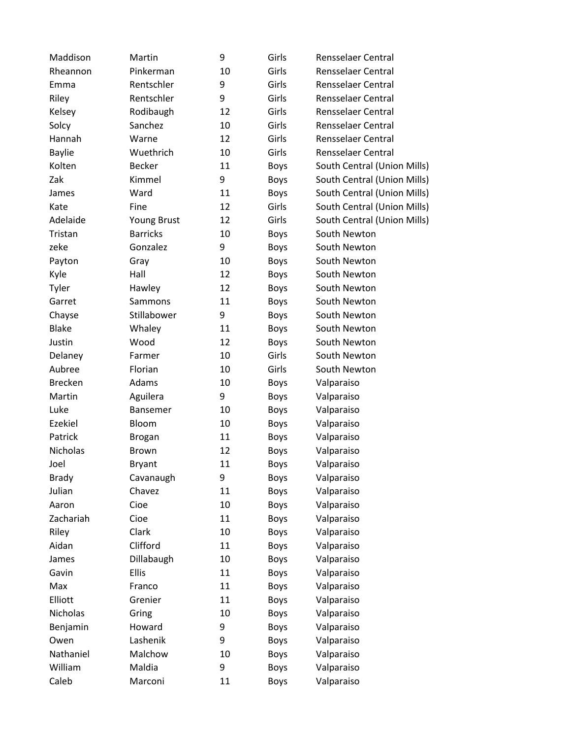| Maddison       | Martin          | 9  | Girls       | Rensselaer Central          |
|----------------|-----------------|----|-------------|-----------------------------|
| Rheannon       | Pinkerman       | 10 | Girls       | Rensselaer Central          |
| Emma           | Rentschler      | 9  | Girls       | Rensselaer Central          |
| Riley          | Rentschler      | 9  | Girls       | Rensselaer Central          |
| Kelsey         | Rodibaugh       | 12 | Girls       | Rensselaer Central          |
| Solcy          | Sanchez         | 10 | Girls       | Rensselaer Central          |
| Hannah         | Warne           | 12 | Girls       | Rensselaer Central          |
| <b>Baylie</b>  | Wuethrich       | 10 | Girls       | Rensselaer Central          |
| Kolten         | <b>Becker</b>   | 11 | <b>Boys</b> | South Central (Union Mills) |
| Zak            | Kimmel          | 9  | <b>Boys</b> | South Central (Union Mills) |
| James          | Ward            | 11 | <b>Boys</b> | South Central (Union Mills) |
| Kate           | Fine            | 12 | Girls       | South Central (Union Mills) |
| Adelaide       | Young Brust     | 12 | Girls       | South Central (Union Mills) |
| Tristan        | <b>Barricks</b> | 10 | <b>Boys</b> | South Newton                |
| zeke           | Gonzalez        | 9  | <b>Boys</b> | South Newton                |
| Payton         | Gray            | 10 | <b>Boys</b> | South Newton                |
| Kyle           | Hall            | 12 | <b>Boys</b> | South Newton                |
| Tyler          | Hawley          | 12 | <b>Boys</b> | South Newton                |
| Garret         | Sammons         | 11 | <b>Boys</b> | South Newton                |
| Chayse         | Stillabower     | 9  | <b>Boys</b> | South Newton                |
| <b>Blake</b>   | Whaley          | 11 | Boys        | South Newton                |
| Justin         | Wood            | 12 | <b>Boys</b> | South Newton                |
| Delaney        | Farmer          | 10 | Girls       | South Newton                |
| Aubree         | Florian         | 10 | Girls       | South Newton                |
| <b>Brecken</b> | Adams           | 10 | <b>Boys</b> | Valparaiso                  |
| Martin         | Aguilera        | 9  | <b>Boys</b> | Valparaiso                  |
| Luke           | Bansemer        | 10 | <b>Boys</b> | Valparaiso                  |
| Ezekiel        | Bloom           | 10 | <b>Boys</b> | Valparaiso                  |
| Patrick        | <b>Brogan</b>   | 11 | <b>Boys</b> | Valparaiso                  |
| Nicholas       | <b>Brown</b>    | 12 | <b>Boys</b> | Valparaiso                  |
| Joel           | <b>Bryant</b>   | 11 | <b>Boys</b> | Valparaiso                  |
| <b>Brady</b>   | Cavanaugh       | 9  | <b>Boys</b> | Valparaiso                  |
| Julian         | Chavez          | 11 | Boys        | Valparaiso                  |
| Aaron          | Cioe            | 10 | <b>Boys</b> | Valparaiso                  |
| Zachariah      | Cioe            | 11 | <b>Boys</b> | Valparaiso                  |
| Riley          | Clark           | 10 | <b>Boys</b> | Valparaiso                  |
| Aidan          | Clifford        | 11 | Boys        | Valparaiso                  |
| James          | Dillabaugh      | 10 | Boys        | Valparaiso                  |
| Gavin          | <b>Ellis</b>    | 11 | <b>Boys</b> | Valparaiso                  |
| Max            | Franco          | 11 | Boys        | Valparaiso                  |
| Elliott        | Grenier         | 11 | <b>Boys</b> | Valparaiso                  |
| Nicholas       | Gring           | 10 | <b>Boys</b> | Valparaiso                  |
| Benjamin       | Howard          | 9  | Boys        | Valparaiso                  |
| Owen           | Lashenik        | 9  | <b>Boys</b> | Valparaiso                  |
| Nathaniel      | Malchow         | 10 | <b>Boys</b> | Valparaiso                  |
| William        | Maldia          | 9  | <b>Boys</b> | Valparaiso                  |
| Caleb          | Marconi         | 11 | Boys        | Valparaiso                  |
|                |                 |    |             |                             |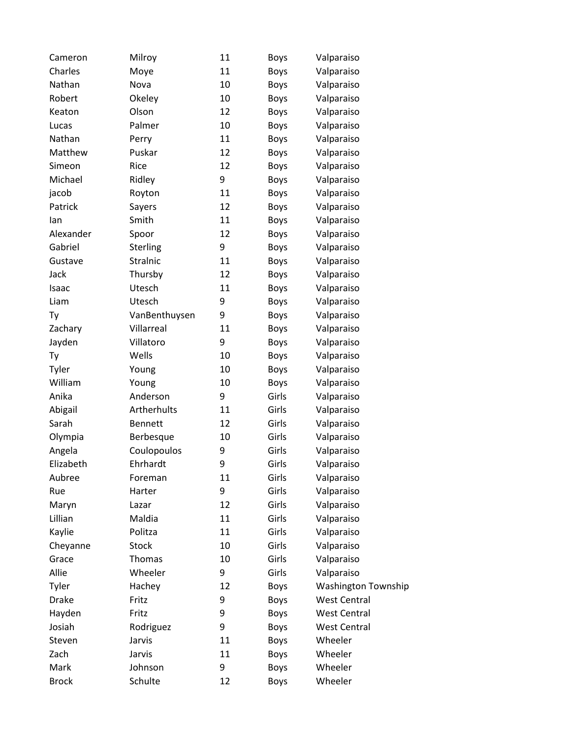| Cameron      | Milroy         | 11 | <b>Boys</b> | Valparaiso                 |
|--------------|----------------|----|-------------|----------------------------|
| Charles      | Moye           | 11 | Boys        | Valparaiso                 |
| Nathan       | Nova           | 10 | <b>Boys</b> | Valparaiso                 |
| Robert       | Okeley         | 10 | Boys        | Valparaiso                 |
| Keaton       | Olson          | 12 | Boys        | Valparaiso                 |
| Lucas        | Palmer         | 10 | Boys        | Valparaiso                 |
| Nathan       | Perry          | 11 | Boys        | Valparaiso                 |
| Matthew      | Puskar         | 12 | <b>Boys</b> | Valparaiso                 |
| Simeon       | Rice           | 12 | Boys        | Valparaiso                 |
| Michael      | Ridley         | 9  | Boys        | Valparaiso                 |
| jacob        | Royton         | 11 | Boys        | Valparaiso                 |
| Patrick      | Sayers         | 12 | Boys        | Valparaiso                 |
| lan          | Smith          | 11 | <b>Boys</b> | Valparaiso                 |
| Alexander    | Spoor          | 12 | Boys        | Valparaiso                 |
| Gabriel      | Sterling       | 9  | Boys        | Valparaiso                 |
| Gustave      | Stralnic       | 11 | Boys        | Valparaiso                 |
| Jack         | Thursby        | 12 | <b>Boys</b> | Valparaiso                 |
| Isaac        | Utesch         | 11 | Boys        | Valparaiso                 |
| Liam         | Utesch         | 9  | Boys        | Valparaiso                 |
| Ty           | VanBenthuysen  | 9  | Boys        | Valparaiso                 |
| Zachary      | Villarreal     | 11 | Boys        | Valparaiso                 |
| Jayden       | Villatoro      | 9  | <b>Boys</b> | Valparaiso                 |
| Ty           | Wells          | 10 | Boys        | Valparaiso                 |
| Tyler        | Young          | 10 | Boys        | Valparaiso                 |
| William      | Young          | 10 | <b>Boys</b> | Valparaiso                 |
| Anika        | Anderson       | 9  | Girls       | Valparaiso                 |
| Abigail      | Artherhults    | 11 | Girls       | Valparaiso                 |
| Sarah        | <b>Bennett</b> | 12 | Girls       | Valparaiso                 |
| Olympia      | Berbesque      | 10 | Girls       | Valparaiso                 |
| Angela       | Coulopoulos    | 9  | Girls       | Valparaiso                 |
| Elizabeth    | Ehrhardt       | 9  | Girls       | Valparaiso                 |
| Aubree       | Foreman        | 11 | Girls       | Valparaiso                 |
| Rue          | Harter         | 9  | Girls       | Valparaiso                 |
| Maryn        | Lazar          | 12 | Girls       | Valparaiso                 |
| Lillian      | Maldia         | 11 | Girls       | Valparaiso                 |
| Kaylie       | Politza        | 11 | Girls       | Valparaiso                 |
| Cheyanne     | <b>Stock</b>   | 10 | Girls       | Valparaiso                 |
| Grace        | Thomas         | 10 | Girls       | Valparaiso                 |
| Allie        | Wheeler        | 9  | Girls       | Valparaiso                 |
| Tyler        | Hachey         | 12 | Boys        | <b>Washington Township</b> |
| <b>Drake</b> | Fritz          | 9  | Boys        | <b>West Central</b>        |
| Hayden       | Fritz          | 9  | Boys        | <b>West Central</b>        |
| Josiah       | Rodriguez      | 9  | Boys        | <b>West Central</b>        |
| Steven       | Jarvis         | 11 | Boys        | Wheeler                    |
| Zach         | Jarvis         | 11 | Boys        | Wheeler                    |
| Mark         | Johnson        | 9  | <b>Boys</b> | Wheeler                    |
| <b>Brock</b> | Schulte        | 12 | Boys        | Wheeler                    |